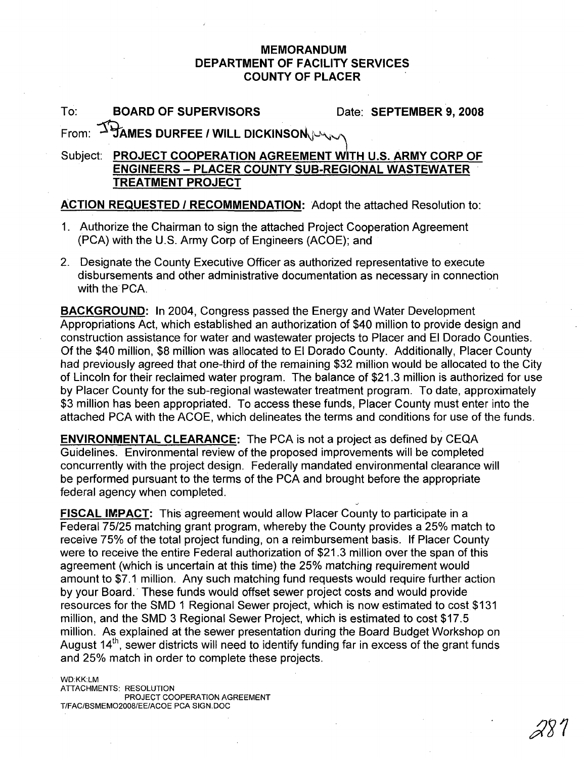## **MEMORANDUM DEPARTMENT OF FACILITY SERVICES COUNTY OF PLACER**

To: **BOARD OF SUPERVISORS** Date: **SEPTEMBER 9, 2008**

**From:**  $\overline{\Delta}$  **PAMES DURFEE / WILL DICKINSON** 

## Subject: **PROJECT COOPERATION AGREEMENT WITH** U.S. **ARMY CORP OF ENGINEERS - PLACER COUNTY SUB-REGIONAL WASTEWATER TREATMENT PROJECT**

## **ACTION REQUESTED I RECOMMENDATION:** Adopt the attached Resolution to:

- 1. Authorize the Chairman to sign the attached Project Cooperation Agreement (PCA) with the U.S. Army Corp of Engineers (ACOE); and
- 2. Designate the County Executive Officer as authorized representative to execute disbursements and other administrative documentation as necessary in connection with the PCA.

**BACKGROUND:** In 2004, Congress passed the Energy and Water Development Appropriations Act, which established an authorization of \$40 million to provide design and construction assistance for water and wastewater projects to Placer and EI Dorado Counties. Of the \$40 million, \$8 million was allocated to EI Dorado County. Additionally, Placer County had previously agreed that one-third of the remaining \$32 million would be allocated to the City of Lincoln for their reclaimed water program. The balance of \$21.3 million is authorized for use by Placer County for the sub-regional wastewater treatment program. To date, approximately \$3 million has been appropriated. To access these funds, Placer County must enter into the attached PCA with the ACOE, which delineates the terms and conditions for use of the funds.

**ENVIRONMENTAL CLEARANCE:** The PCA is not a project as defined by CEQA Guidelines. Environmental review of the proposed improvements will be completed concurrently with the project design. Federally mandated environmental clearance will be performed pursuant to the terms of the PCA and brought before the appropriate federal agency when completed.

**FISCAL IMPACT:** This agreement would allow Placer County to participate in a Federal 75/25 matching grant program, whereby the County provides a 25% match to receive 75% of the total project funding, on a reimbursement basis. If Placer County were to receive the entire Federal authorization of \$21.3 million over the span of this agreement (which is uncertain at this time) the 25% matching requirement would amount to \$7.1 million. Any such matching fund requests would require further action by your Board.' These funds would offset sewer project costs and would provide resources for the SMD 1 Regional Sewer project, which is now estimated to cost \$131 million, and the SMD 3 Regional Sewer Project, which is estimated to cost \$17.5 million. As explained at the sewer presentation during the Board Budget Workshop on August  $14<sup>th</sup>$ , sewer districts will need to identify funding far in excess of the grant funds and 25% match in order to complete these projects.

WD:KK:LM ATTACHMENTS: RESOLUTION PROJECT COOPERATION AGREEMENT T/FAC/BSMEM02008/EE/ACOE PCA SIGN.DOC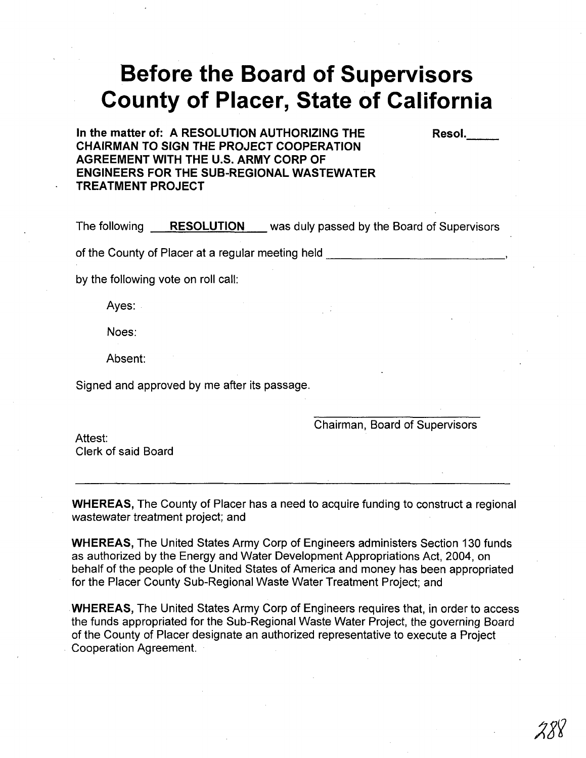## **Before the Board of Supervisors County of Placer, State of California**

**In the matter of: A RESOLUTION AUTHORIZING THE CHAIRMAN TO SIGN THE PROJECT COOPERATION AGREEMENT WITH THE U.S. ARMY CORP OF ENGINEERS FOR THE SUB-REGIONAL WASTEWATER TREATMENT PROJECT**

The following \_..;:.R.;.:E::.:;S::..;:O::..;:L=U::;..T:..:,I..;,O..:..;N:....-\_ was duly passed by the Board of Supervisors

of the County of Placer at a regular meeting held

by the following vote on roll call:

Ayes:

Noes:

Absent:

Signed and approved by me after its passage.

Chairman, Board of Supervisors

Resol.

Attest: Clerk of said Board

**WHEREAS,** The County of Placer has a need to acquire funding to construct a regional wastewater treatment project; and

**WHEREAS,** The United States Army Corp of Engineers administers Section 130 funds as authorized by the Energy and Water Development Appropriations Act, 2004, on behalf of the people of the United States of America and money has been appropriated for the Placer County Sub-Regional Waste Water Treatment Project; and

**WHEREAS,** The United States Army Corp of Engineers requires that, in order to access the funds appropriated for the Sub-Regional Waste Water Project, the governing Board of the County of Placer designate an authorized representative to execute a Project , Cooperation Agreement.